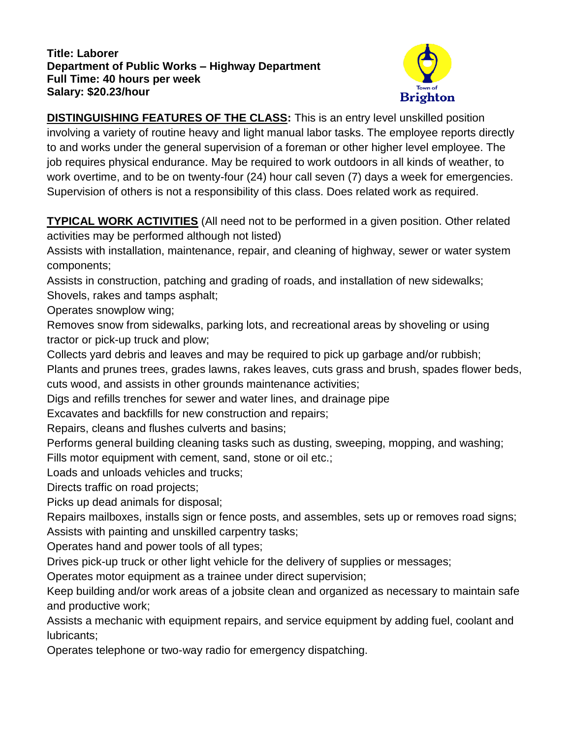## **Title: Laborer Department of Public Works – Highway Department Full Time: 40 hours per week Salary: \$20.23/hour**



**DISTINGUISHING FEATURES OF THE CLASS:** This is an entry level unskilled position involving a variety of routine heavy and light manual labor tasks. The employee reports directly to and works under the general supervision of a foreman or other higher level employee. The job requires physical endurance. May be required to work outdoors in all kinds of weather, to work overtime, and to be on twenty-four (24) hour call seven (7) days a week for emergencies. Supervision of others is not a responsibility of this class. Does related work as required.

**TYPICAL WORK ACTIVITIES** (All need not to be performed in a given position. Other related activities may be performed although not listed)

Assists with installation, maintenance, repair, and cleaning of highway, sewer or water system components;

Assists in construction, patching and grading of roads, and installation of new sidewalks; Shovels, rakes and tamps asphalt;

Operates snowplow wing;

Removes snow from sidewalks, parking lots, and recreational areas by shoveling or using tractor or pick-up truck and plow;

Collects yard debris and leaves and may be required to pick up garbage and/or rubbish;

Plants and prunes trees, grades lawns, rakes leaves, cuts grass and brush, spades flower beds, cuts wood, and assists in other grounds maintenance activities;

Digs and refills trenches for sewer and water lines, and drainage pipe

Excavates and backfills for new construction and repairs;

Repairs, cleans and flushes culverts and basins;

Performs general building cleaning tasks such as dusting, sweeping, mopping, and washing; Fills motor equipment with cement, sand, stone or oil etc.;

Loads and unloads vehicles and trucks;

Directs traffic on road projects;

Picks up dead animals for disposal;

Repairs mailboxes, installs sign or fence posts, and assembles, sets up or removes road signs; Assists with painting and unskilled carpentry tasks;

Operates hand and power tools of all types;

Drives pick-up truck or other light vehicle for the delivery of supplies or messages;

Operates motor equipment as a trainee under direct supervision;

Keep building and/or work areas of a jobsite clean and organized as necessary to maintain safe and productive work;

Assists a mechanic with equipment repairs, and service equipment by adding fuel, coolant and lubricants;

Operates telephone or two-way radio for emergency dispatching.